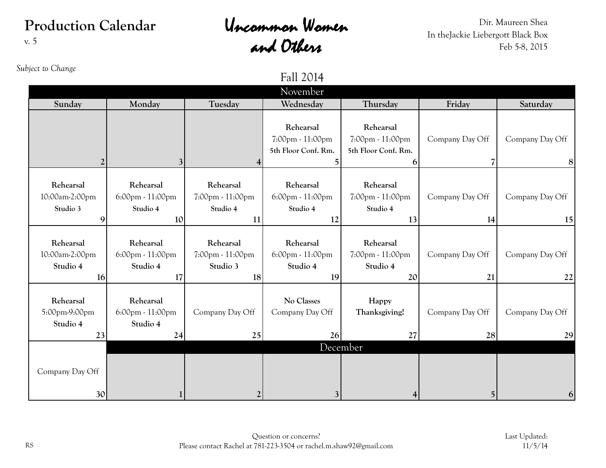## **Production Calendar** v. 5

## Uncommon Women and Others

Dir. Maureen Shea In theJackie Liebergott Black Box Feb 5-8, 2015

| Subject to Change                             |                                                 |                                                 | Fall 2014<br>November                                                 |                                                           |                       |                       |
|-----------------------------------------------|-------------------------------------------------|-------------------------------------------------|-----------------------------------------------------------------------|-----------------------------------------------------------|-----------------------|-----------------------|
| Sunday                                        | Monday                                          | Tuesday                                         | Wednesday                                                             | Thursday                                                  | Friday                | Saturday              |
| $\overline{2}$                                |                                                 | 4                                               | Rehearsal<br>7:00pm - 11:00pm<br>5th Floor Conf. Rm.<br>5             | Rehearsal<br>7:00pm - 11:00pm<br>5th Floor Conf. Rm.<br>6 | Company Day Off       | Company Day Off<br> 8 |
| Rehearsal<br>10:00am-2:00pm<br>Studio 3<br>9  | Rehearsal<br>6:00pm - 11:00pm<br>Studio 4<br>10 | Rehearsal<br>7:00pm - 11:00pm<br>Studio 4<br>11 | Rehearsal<br>$6:00 \text{pm} \cdot 11:00 \text{pm}$<br>Studio 4<br>12 | Rehearsal<br>7:00pm - 11:00pm<br>Studio 4<br>13           | Company Day Off<br>14 | Company Day Off<br>15 |
| Rehearsal<br>10:00am-2:00pm<br>Studio 4<br>16 | Rehearsal<br>6:00pm - 11:00pm<br>Studio 4<br>17 | Rehearsal<br>7:00pm - 11:00pm<br>Studio 3<br>18 | Rehearsal<br>$6:00 \text{pm} \cdot 11:00 \text{pm}$<br>Studio 4<br>19 | Rehearsal<br>7:00pm - 11:00pm<br>Studio 4<br>20           | Company Day Off<br>21 | Company Day Off<br>22 |
| Rehearsal<br>5:00pm-9:00pm<br>Studio 4<br>23  | Rehearsal<br>6:00pm - 11:00pm<br>Studio 4<br>24 | Company Day Off<br>25                           | No Classes<br>Company Day Off<br>26                                   | Happy<br>Thanksgiving!<br>27                              | Company Day Off<br>28 | Company Day Off<br>29 |
| Company Day Off<br>30                         |                                                 | $\overline{2}$                                  | $\mathfrak{Z}$                                                        | December<br>4                                             | $\vert 5 \vert$       | 6 <sup>1</sup>        |